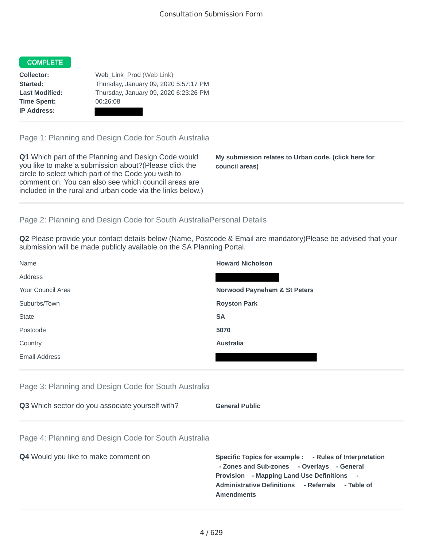## **COMPLETE**

**Time Spent:** 00:26:08 **IP Address:**

**Collector:** Web Link Prod (Web Link) **Started:** Thursday, January 09, 2020 5:57:17 PM **Last Modified:** Thursday, January 09, 2020 6:23:26 PM

Page 1: Planning and Design Code for South Australia

**Q1** Which part of the Planning and Design Code would you like to make a submission about?(Please click the circle to select which part of the Code you wish to comment on. You can also see which council areas are included in the rural and urban code via the links below.)

**My submission relates to Urban code. (click here for council areas)**

## Page 2: Planning and Design Code for South AustraliaPersonal Details

**Q2** Please provide your contact details below (Name, Postcode & Email are mandatory)Please be advised that your submission will be made publicly available on the SA Planning Portal.

| Name                 | <b>Howard Nicholson</b>                 |
|----------------------|-----------------------------------------|
| Address              |                                         |
| Your Council Area    | <b>Norwood Payneham &amp; St Peters</b> |
| Suburbs/Town         | <b>Royston Park</b>                     |
| <b>State</b>         | <b>SA</b>                               |
| Postcode             | 5070                                    |
| Country              | <b>Australia</b>                        |
| <b>Email Address</b> |                                         |

## Page 3: Planning and Design Code for South Australia

| Q3 Which sector do you associate yourself with? | <b>General Public</b> |
|-------------------------------------------------|-----------------------|
|                                                 |                       |

## Page 4: Planning and Design Code for South Australia

| <b>Q4</b> Would you like to make comment on | Specific Topics for example : - Rules of Interpretation |
|---------------------------------------------|---------------------------------------------------------|
|                                             | - Zones and Sub-zones - Overlays - General              |
|                                             | <b>Provision</b> - Mapping Land Use Definitions -       |
|                                             | Administrative Definitions - Referrals - Table of       |
|                                             | <b>Amendments</b>                                       |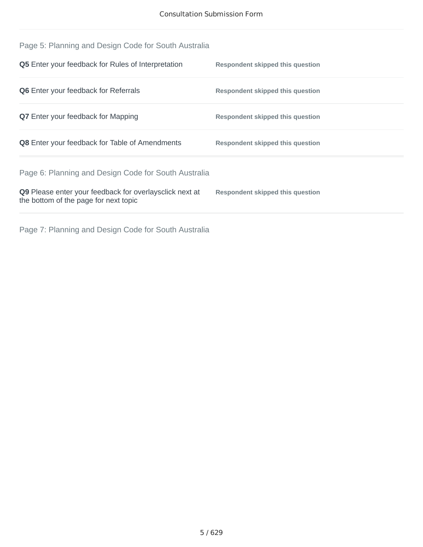| Page 5: Planning and Design Code for South Australia                                             |                                         |
|--------------------------------------------------------------------------------------------------|-----------------------------------------|
| <b>Q5</b> Enter your feedback for Rules of Interpretation                                        | Respondent skipped this question        |
| <b>Q6</b> Enter your feedback for Referrals                                                      | Respondent skipped this question        |
| <b>Q7</b> Enter your feedback for Mapping                                                        | <b>Respondent skipped this question</b> |
| <b>Q8</b> Enter your feedback for Table of Amendments                                            | Respondent skipped this question        |
| Page 6: Planning and Design Code for South Australia                                             |                                         |
| Q9 Please enter your feedback for overlaysclick next at<br>the bottom of the page for next topic | Respondent skipped this question        |
|                                                                                                  |                                         |

Page 7: Planning and Design Code for South Australia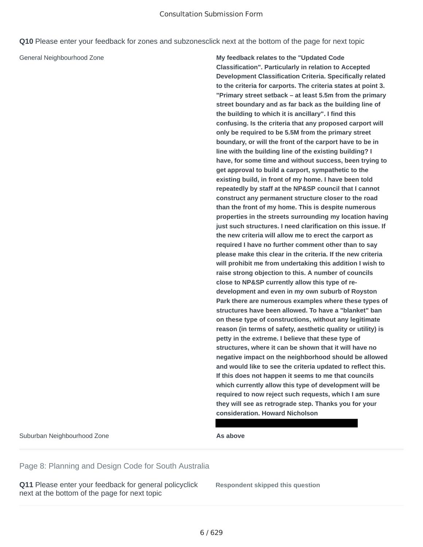**Q10** Please enter your feedback for zones and subzonesclick next at the bottom of the page for next topic

General Neighbourhood Zone **My feedback relates to the "Updated Code Classification". Particularly in relation to Accepted Development Classification Criteria. Specifically related to the criteria for carports. The criteria states at point 3. "Primary street setback – at least 5.5m from the primary street boundary and as far back as the building line of the building to which it is ancillary". I find this confusing. Is the criteria that any proposed carport will only be required to be 5.5M from the primary street boundary, or will the front of the carport have to be in line with the building line of the existing building? I have, for some time and without success, been trying to get approval to build a carport, sympathetic to the existing build, in front of my home. I have been told repeatedly by staff at the NP&SP council that I cannot construct any permanent structure closer to the road than the front of my home. This is despite numerous properties in the streets surrounding my location having just such structures. I need clarification on this issue. If the new criteria will allow me to erect the carport as required I have no further comment other than to say please make this clear in the criteria. If the new criteria will prohibit me from undertaking this addition I wish to raise strong objection to this. A number of councils close to NP&SP currently allow this type of redevelopment and even in my own suburb of Royston Park there are numerous examples where these types of structures have been allowed. To have a "blanket" ban on these type of constructions, without any legitimate reason (in terms of safety, aesthetic quality or utility) is petty in the extreme. I believe that these type of structures, where it can be shown that it will have no negative impact on the neighborhood should be allowed and would like to see the criteria updated to reflect this. If this does not happen it seems to me that councils which currently allow this type of development will be required to now reject such requests, which I am sure they will see as retrograde step. Thanks you for your consideration. Howard Nicholson**

Suburban Neighbourhood Zone **As above**

Page 8: Planning and Design Code for South Australia

**Q11** Please enter your feedback for general policyclick next at the bottom of the page for next topic

**Respondent skipped this question**